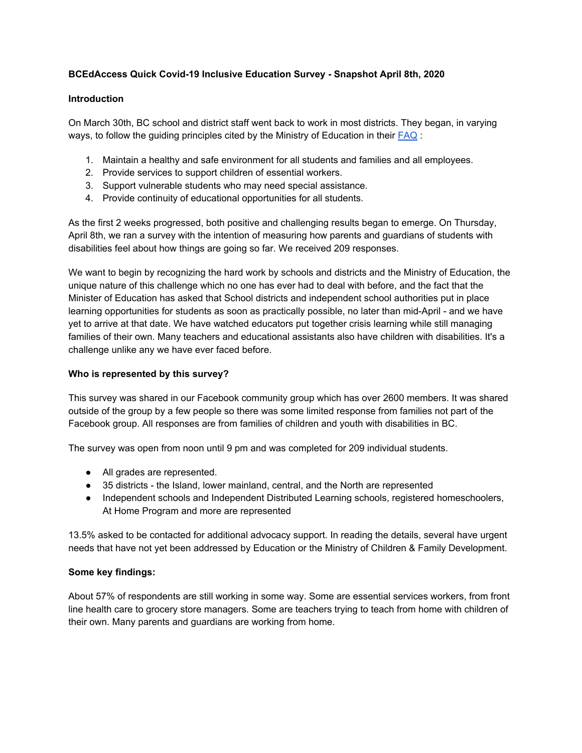# **BCEdAccess Quick Covid-19 Inclusive Education Survey - Snapshot April 8th, 2020**

### **Introduction**

On March 30th, BC school and district staff went back to work in most districts. They began, in varying ways, to follow the guiding principles cited by the Ministry of Education in their [FAQ](https://www2.gov.bc.ca/assets/gov/education/administration/kindergarten-to-grade-12/safe-caring-orderly/bc-ministry-of-education-questions-and-answers-continuity-of-learning-k-12-education_system.pdf) :

- 1. Maintain a healthy and safe environment for all students and families and all employees.
- 2. Provide services to support children of essential workers.
- 3. Support vulnerable students who may need special assistance.
- 4. Provide continuity of educational opportunities for all students.

As the first 2 weeks progressed, both positive and challenging results began to emerge. On Thursday, April 8th, we ran a survey with the intention of measuring how parents and guardians of students with disabilities feel about how things are going so far. We received 209 responses.

We want to begin by recognizing the hard work by schools and districts and the Ministry of Education, the unique nature of this challenge which no one has ever had to deal with before, and the fact that the Minister of Education has asked that School districts and independent school authorities put in place learning opportunities for students as soon as practically possible, no later than mid-April - and we have yet to arrive at that date. We have watched educators put together crisis learning while still managing families of their own. Many teachers and educational assistants also have children with disabilities. It's a challenge unlike any we have ever faced before.

## **Who is represented by this survey?**

This survey was shared in our Facebook community group which has over 2600 members. It was shared outside of the group by a few people so there was some limited response from families not part of the Facebook group. All responses are from families of children and youth with disabilities in BC.

The survey was open from noon until 9 pm and was completed for 209 individual students.

- All grades are represented.
- 35 districts the Island, lower mainland, central, and the North are represented
- Independent schools and Independent Distributed Learning schools, registered homeschoolers, At Home Program and more are represented

13.5% asked to be contacted for additional advocacy support. In reading the details, several have urgent needs that have not yet been addressed by Education or the Ministry of Children & Family Development.

# **Some key findings:**

About 57% of respondents are still working in some way. Some are essential services workers, from front line health care to grocery store managers. Some are teachers trying to teach from home with children of their own. Many parents and guardians are working from home.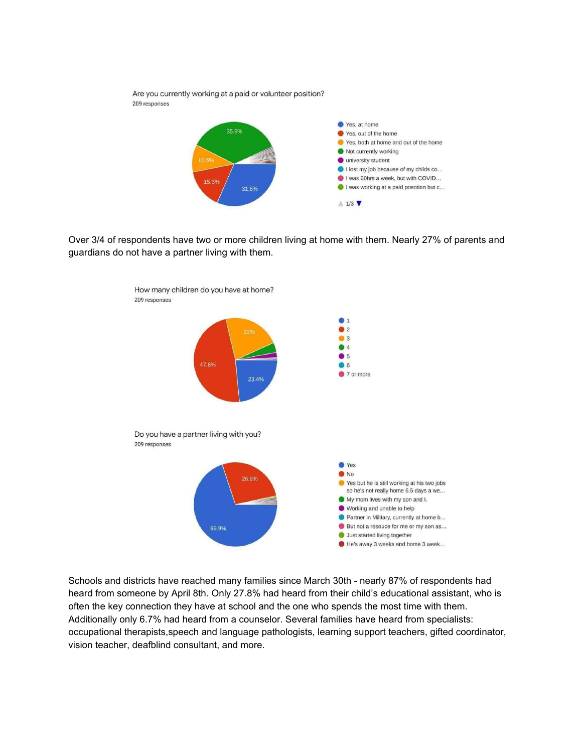

Over 3/4 of respondents have two or more children living at home with them. Nearly 27% of parents and guardians do not have a partner living with them.



Schools and districts have reached many families since March 30th - nearly 87% of respondents had heard from someone by April 8th. Only 27.8% had heard from their child's educational assistant, who is often the key connection they have at school and the one who spends the most time with them. Additionally only 6.7% had heard from a counselor. Several families have heard from specialists: occupational therapists,speech and language pathologists, learning support teachers, gifted coordinator, vision teacher, deafblind consultant, and more.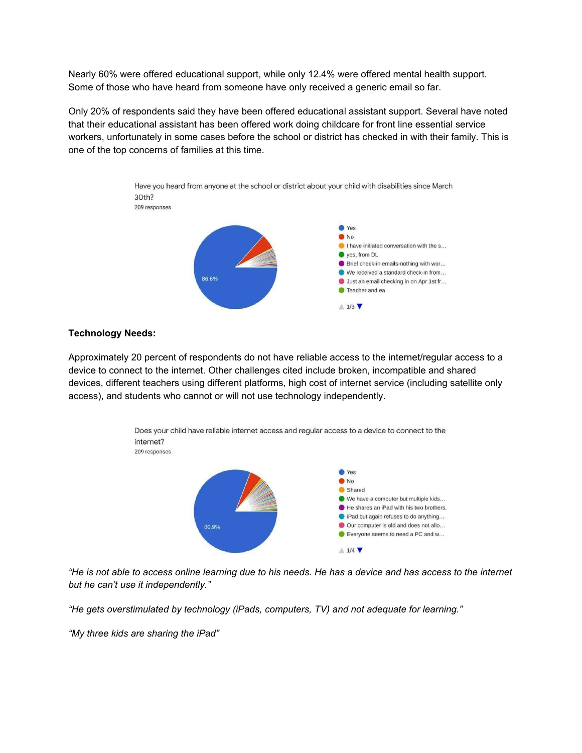Nearly 60% were offered educational support, while only 12.4% were offered mental health support. Some of those who have heard from someone have only received a generic email so far.

Only 20% of respondents said they have been offered educational assistant support. Several have noted that their educational assistant has been offered work doing childcare for front line essential service workers, unfortunately in some cases before the school or district has checked in with their family. This is one of the top concerns of families at this time.



### **Technology Needs:**

Approximately 20 percent of respondents do not have reliable access to the internet/regular access to a device to connect to the internet. Other challenges cited include broken, incompatible and shared devices, different teachers using different platforms, high cost of internet service (including satellite only access), and students who cannot or will not use technology independently.



"He is not able to access online learning due to his needs. He has a device and has access to the internet *but he can't use it independently."*

*"He gets overstimulated by technology (iPads, computers, TV) and not adequate for learning."*

*"My three kids are sharing the iPad"*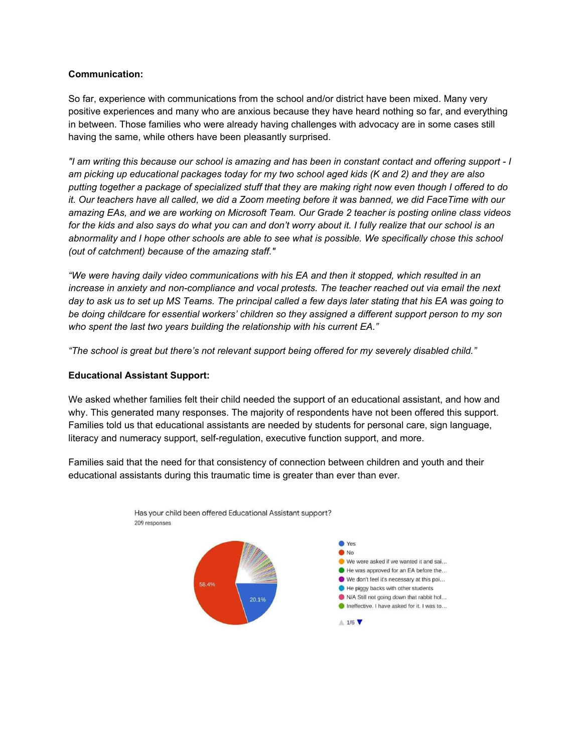## **Communication:**

So far, experience with communications from the school and/or district have been mixed. Many very positive experiences and many who are anxious because they have heard nothing so far, and everything in between. Those families who were already having challenges with advocacy are in some cases still having the same, while others have been pleasantly surprised.

"I am writing this because our school is amazing and has been in constant contact and offering support - I am picking up educational packages today for my two school aged kids (K and 2) and they are also putting together a package of specialized stuff that they are making right now even though I offered to do it. Our teachers have all called, we did a Zoom meeting before it was banned, we did FaceTime with our amazing EAs, and we are working on Microsoft Team. Our Grade 2 teacher is posting online class videos for the kids and also says do what you can and don't worry about it. I fully realize that our school is an abnormality and I hope other schools are able to see what is possible. We specifically chose this school *(out of catchment) because of the amazing staff."*

*"We were having daily video communications with his EA and then it stopped, which resulted in an increase in anxiety and non-compliance and vocal protests. The teacher reached out via email the next* day to ask us to set up MS Teams. The principal called a few days later stating that his EA was going to *be doing childcare for essential workers' children so they assigned a different support person to my son who spent the last two years building the relationship with his current EA."*

*"The school is great but there's not relevant support being offered for my severely disabled child."*

## **Educational Assistant Support:**

We asked whether families felt their child needed the support of an educational assistant, and how and why. This generated many responses. The majority of respondents have not been offered this support. Families told us that educational assistants are needed by students for personal care, sign language, literacy and numeracy support, self-regulation, executive function support, and more.

Families said that the need for that consistency of connection between children and youth and their educational assistants during this traumatic time is greater than ever than ever.

Has your child been offered Educational Assistant support?

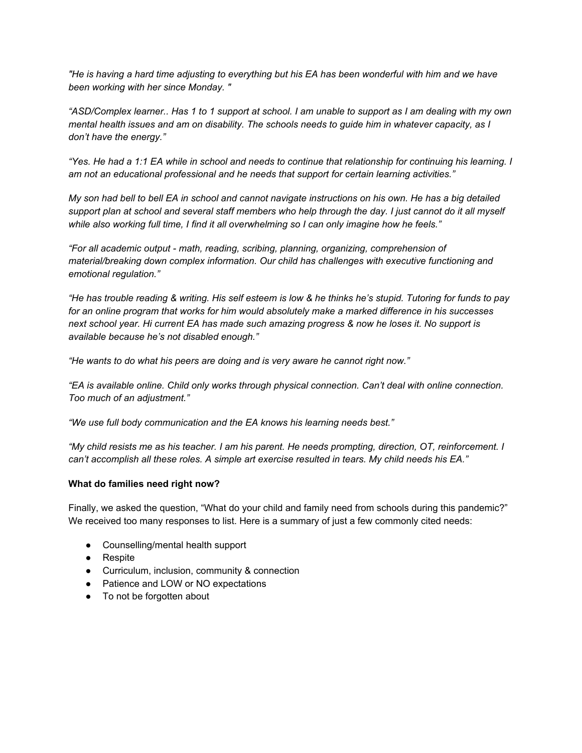He is having a hard time adjusting to everything but his EA has been wonderful with him and we have" *been working with her since Monday. "*

"ASD/Complex learner.. Has 1 to 1 support at school. I am unable to support as I am dealing with my own mental health issues and am on disability. The schools needs to guide him in whatever capacity, as I *don't have the energy."*

"Yes. He had a 1:1 EA while in school and needs to continue that relationship for continuing his learning. I *am not an educational professional and he needs that support for certain learning activities."*

My son had bell to bell EA in school and cannot navigate instructions on his own. He has a big detailed support plan at school and several staff members who help through the day. I just cannot do it all myself *while also working full time, I find it all overwhelming so I can only imagine how he feels."*

*"For all academic output - math, reading, scribing, planning, organizing, comprehension of material/breaking down complex information. Our child has challenges with executive functioning and emotional regulation."*

"He has trouble reading & writing. His self esteem is low & he thinks he's stupid. Tutoring for funds to pay *for an online program that works for him would absolutely make a marked difference in his successes* next school year. Hi current EA has made such amazing progress & now he loses it. No support is *available because he's not disabled enough."*

*"He wants to do what his peers are doing and is very aware he cannot right now."*

*"EA is available online. Child only works through physical connection. Can't deal with online connection. Too much of an adjustment."*

*"We use full body communication and the EA knows his learning needs best."*

"My child resists me as his teacher. I am his parent. He needs prompting, direction, OT, reinforcement. I *can't accomplish all these roles. A simple art exercise resulted in tears. My child needs his EA."*

# **What do families need right now?**

Finally, we asked the question, "What do your child and family need from schools during this pandemic?" We received too many responses to list. Here is a summary of just a few commonly cited needs:

- Counselling/mental health support
- Respite
- Curriculum, inclusion, community & connection
- Patience and LOW or NO expectations
- To not be forgotten about